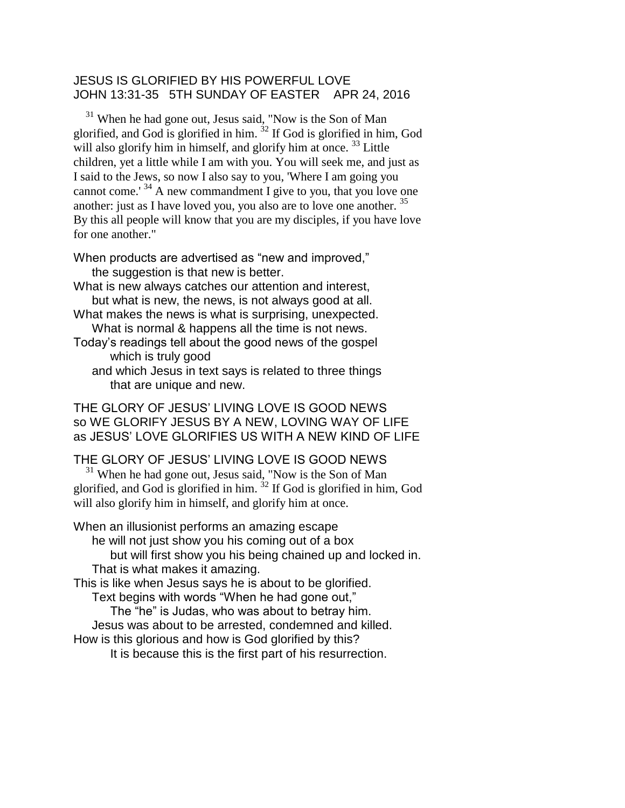## JESUS IS GLORIFIED BY HIS POWERFUL LOVE JOHN 13:31-35 5TH SUNDAY OF EASTER APR 24, 2016

<sup>31</sup> When he had gone out, Jesus said, "Now is the Son of Man glorified, and God is glorified in him. <sup>32</sup> If God is glorified in him, God will also glorify him in himself, and glorify him at once.  $33$  Little children, yet a little while I am with you. You will seek me, and just as I said to the Jews, so now I also say to you, 'Where I am going you cannot come.<sup>34</sup> A new commandment I give to you, that you love one another: just as I have loved you, you also are to love one another.<sup>35</sup> By this all people will know that you are my disciples, if you have love for one another."

- When products are advertised as "new and improved," the suggestion is that new is better.
- What is new always catches our attention and interest, but what is new, the news, is not always good at all.
- What makes the news is what is surprising, unexpected. What is normal & happens all the time is not news.
- Today's readings tell about the good news of the gospel which is truly good
	- and which Jesus in text says is related to three things that are unique and new.

THE GLORY OF JESUS' LIVING LOVE IS GOOD NEWS so WE GLORIFY JESUS BY A NEW, LOVING WAY OF LIFE as JESUS' LOVE GLORIFIES US WITH A NEW KIND OF LIFE

## THE GLORY OF JESUS' LIVING LOVE IS GOOD NEWS

<sup>31</sup> When he had gone out, Jesus said, "Now is the Son of Man glorified, and God is glorified in him.  $32$  If God is glorified in him, God will also glorify him in himself, and glorify him at once.

When an illusionist performs an amazing escape he will not just show you his coming out of a box but will first show you his being chained up and locked in. That is what makes it amazing. This is like when Jesus says he is about to be glorified. Text begins with words "When he had gone out," The "he" is Judas, who was about to betray him. Jesus was about to be arrested, condemned and killed. How is this glorious and how is God glorified by this?

It is because this is the first part of his resurrection.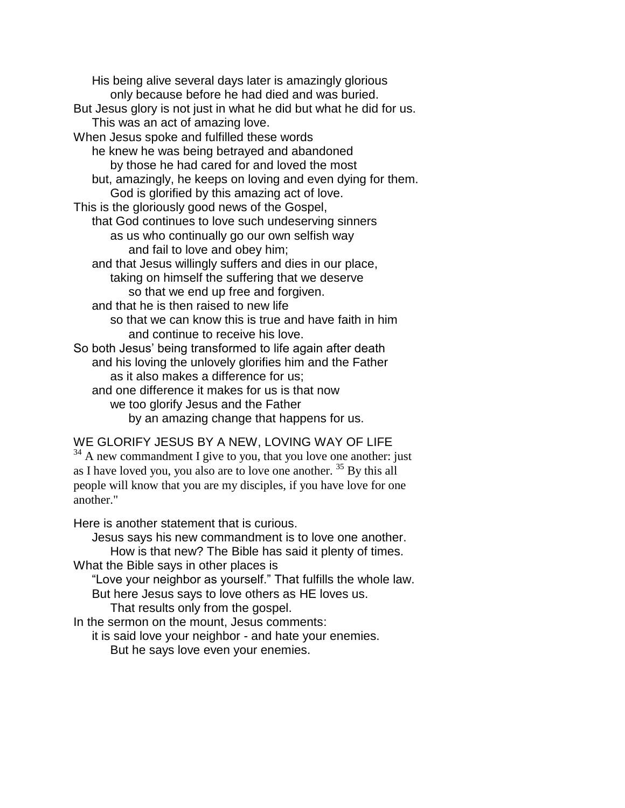His being alive several days later is amazingly glorious only because before he had died and was buried. But Jesus glory is not just in what he did but what he did for us. This was an act of amazing love. When Jesus spoke and fulfilled these words he knew he was being betrayed and abandoned by those he had cared for and loved the most but, amazingly, he keeps on loving and even dying for them. God is glorified by this amazing act of love. This is the gloriously good news of the Gospel, that God continues to love such undeserving sinners as us who continually go our own selfish way and fail to love and obey him; and that Jesus willingly suffers and dies in our place, taking on himself the suffering that we deserve so that we end up free and forgiven. and that he is then raised to new life so that we can know this is true and have faith in him and continue to receive his love. So both Jesus' being transformed to life again after death and his loving the unlovely glorifies him and the Father as it also makes a difference for us; and one difference it makes for us is that now we too glorify Jesus and the Father by an amazing change that happens for us.

## WE GLORIFY JESUS BY A NEW, LOVING WAY OF LIFE

 $34$  A new commandment I give to you, that you love one another: just as I have loved you, you also are to love one another. <sup>35</sup> By this all people will know that you are my disciples, if you have love for one another."

Here is another statement that is curious.

Jesus says his new commandment is to love one another. How is that new? The Bible has said it plenty of times.

What the Bible says in other places is

"Love your neighbor as yourself." That fulfills the whole law. But here Jesus says to love others as HE loves us.

That results only from the gospel.

In the sermon on the mount, Jesus comments:

it is said love your neighbor - and hate your enemies. But he says love even your enemies.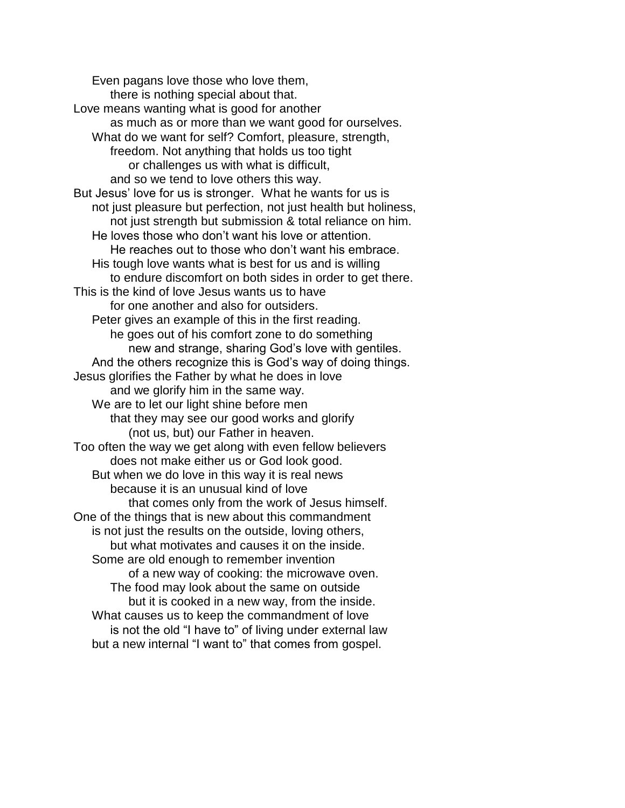Even pagans love those who love them, there is nothing special about that. Love means wanting what is good for another as much as or more than we want good for ourselves. What do we want for self? Comfort, pleasure, strength, freedom. Not anything that holds us too tight or challenges us with what is difficult, and so we tend to love others this way. But Jesus' love for us is stronger. What he wants for us is not just pleasure but perfection, not just health but holiness, not just strength but submission & total reliance on him. He loves those who don't want his love or attention. He reaches out to those who don't want his embrace. His tough love wants what is best for us and is willing to endure discomfort on both sides in order to get there. This is the kind of love Jesus wants us to have for one another and also for outsiders. Peter gives an example of this in the first reading. he goes out of his comfort zone to do something new and strange, sharing God's love with gentiles. And the others recognize this is God's way of doing things. Jesus glorifies the Father by what he does in love and we glorify him in the same way. We are to let our light shine before men that they may see our good works and glorify (not us, but) our Father in heaven. Too often the way we get along with even fellow believers does not make either us or God look good. But when we do love in this way it is real news because it is an unusual kind of love that comes only from the work of Jesus himself. One of the things that is new about this commandment is not just the results on the outside, loving others, but what motivates and causes it on the inside. Some are old enough to remember invention of a new way of cooking: the microwave oven. The food may look about the same on outside but it is cooked in a new way, from the inside. What causes us to keep the commandment of love is not the old "I have to" of living under external law but a new internal "I want to" that comes from gospel.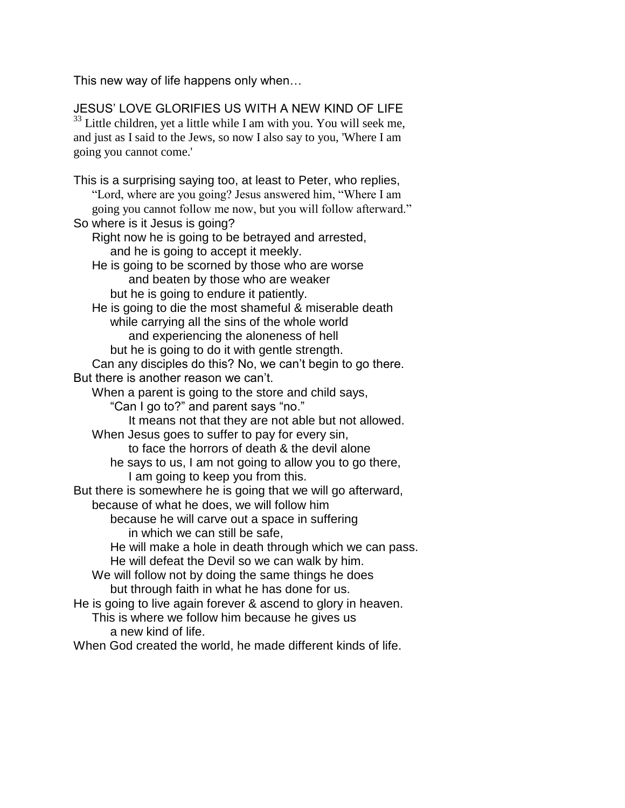This new way of life happens only when…

JESUS' LOVE GLORIFIES US WITH A NEW KIND OF LIFE  $33$  Little children, yet a little while I am with you. You will seek me, and just as I said to the Jews, so now I also say to you, 'Where I am going you cannot come.'

This is a surprising saying too, at least to Peter, who replies, "Lord, where are you going? Jesus answered him, "Where I am going you cannot follow me now, but you will follow afterward." So where is it Jesus is going? Right now he is going to be betrayed and arrested, and he is going to accept it meekly. He is going to be scorned by those who are worse and beaten by those who are weaker but he is going to endure it patiently. He is going to die the most shameful & miserable death while carrying all the sins of the whole world and experiencing the aloneness of hell but he is going to do it with gentle strength. Can any disciples do this? No, we can't begin to go there. But there is another reason we can't. When a parent is going to the store and child says, "Can I go to?" and parent says "no." It means not that they are not able but not allowed. When Jesus goes to suffer to pay for every sin, to face the horrors of death & the devil alone he says to us, I am not going to allow you to go there, I am going to keep you from this. But there is somewhere he is going that we will go afterward, because of what he does, we will follow him because he will carve out a space in suffering in which we can still be safe, He will make a hole in death through which we can pass. He will defeat the Devil so we can walk by him. We will follow not by doing the same things he does but through faith in what he has done for us. He is going to live again forever & ascend to glory in heaven. This is where we follow him because he gives us a new kind of life. When God created the world, he made different kinds of life.